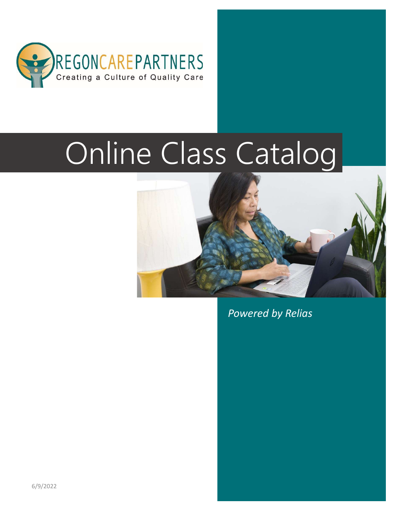

# Online Class Catalog



Powered by Relias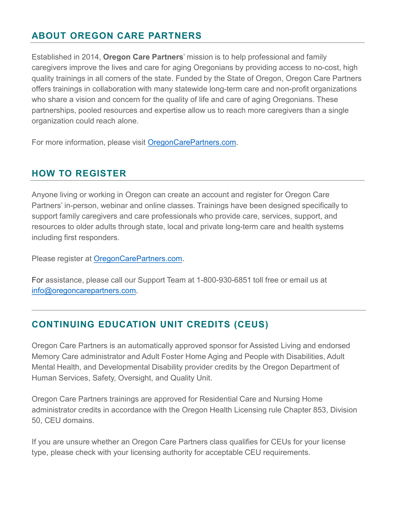#### ABOUT OREGON CARE PARTNERS

Established in 2014, Oregon Care Partners' mission is to help professional and family caregivers improve the lives and care for aging Oregonians by providing access to no-cost, high quality trainings in all corners of the state. Funded by the State of Oregon, Oregon Care Partners offers trainings in collaboration with many statewide long-term care and non-profit organizations who share a vision and concern for the quality of life and care of aging Oregonians. These partnerships, pooled resources and expertise allow us to reach more caregivers than a single organization could reach alone.

For more information, please visit OregonCarePartners.com.

#### HOW TO REGISTER

Anyone living or working in Oregon can create an account and register for Oregon Care Partners' in-person, webinar and online classes. Trainings have been designed specifically to support family caregivers and care professionals who provide care, services, support, and resources to older adults through state, local and private long-term care and health systems including first responders.

Please register at OregonCarePartners.com.

For assistance, please call our Support Team at 1-800-930-6851 toll free or email us at info@oregoncarepartners.com.

#### CONTINUING EDUCATION UNIT CREDITS (CEUS)

Oregon Care Partners is an automatically approved sponsor for Assisted Living and endorsed Memory Care administrator and Adult Foster Home Aging and People with Disabilities, Adult Mental Health, and Developmental Disability provider credits by the Oregon Department of Human Services, Safety, Oversight, and Quality Unit.

Oregon Care Partners trainings are approved for Residential Care and Nursing Home administrator credits in accordance with the Oregon Health Licensing rule Chapter 853, Division 50, CEU domains.

If you are unsure whether an Oregon Care Partners class qualifies for CEUs for your license type, please check with your licensing authority for acceptable CEU requirements.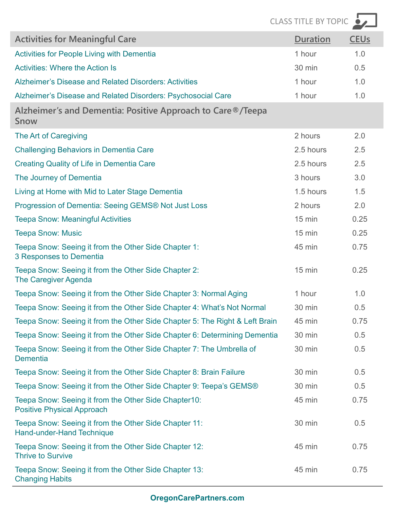|                                                                                           | <b>CLASS TITLE BY TOPIC</b> |                        |
|-------------------------------------------------------------------------------------------|-----------------------------|------------------------|
| <b>Activities for Meaningful Care</b>                                                     | <b>Duration</b>             | <b>CEU<sub>s</sub></b> |
| <b>Activities for People Living with Dementia</b>                                         | 1 hour                      | 1.0                    |
| <b>Activities: Where the Action Is</b>                                                    | 30 min                      | 0.5                    |
| Alzheimer's Disease and Related Disorders: Activities                                     | 1 hour                      | 1.0                    |
| Alzheimer's Disease and Related Disorders: Psychosocial Care                              | 1 hour                      | 1.0                    |
| Alzheimer's and Dementia: Positive Approach to Care ®/Teepa<br>Snow                       |                             |                        |
| The Art of Caregiving                                                                     | 2 hours                     | 2.0                    |
| <b>Challenging Behaviors in Dementia Care</b>                                             | 2.5 hours                   | 2.5                    |
| <b>Creating Quality of Life in Dementia Care</b>                                          | 2.5 hours                   | 2.5                    |
| The Journey of Dementia                                                                   | 3 hours                     | 3.0                    |
| Living at Home with Mid to Later Stage Dementia                                           | 1.5 hours                   | 1.5                    |
| Progression of Dementia: Seeing GEMS® Not Just Loss                                       | 2 hours                     | 2.0                    |
| <b>Teepa Snow: Meaningful Activities</b>                                                  | $15 \text{ min}$            | 0.25                   |
| <b>Teepa Snow: Music</b>                                                                  | $15 \text{ min}$            | 0.25                   |
| Teepa Snow: Seeing it from the Other Side Chapter 1:<br>3 Responses to Dementia           | 45 min                      | 0.75                   |
| Teepa Snow: Seeing it from the Other Side Chapter 2:<br><b>The Caregiver Agenda</b>       | $15 \text{ min}$            | 0.25                   |
| Teepa Snow: Seeing it from the Other Side Chapter 3: Normal Aging                         | 1 hour                      | 1.0                    |
| Teepa Snow: Seeing it from the Other Side Chapter 4: What's Not Normal                    | 30 min                      | 0.5                    |
| Teepa Snow: Seeing it from the Other Side Chapter 5: The Right & Left Brain               | 45 min                      | 0.75                   |
| Teepa Snow: Seeing it from the Other Side Chapter 6: Determining Dementia                 | 30 min                      | 0.5                    |
| Teepa Snow: Seeing it from the Other Side Chapter 7: The Umbrella of<br><b>Dementia</b>   | 30 min                      | 0.5                    |
| Teepa Snow: Seeing it from the Other Side Chapter 8: Brain Failure                        | 30 min                      | 0.5                    |
| Teepa Snow: Seeing it from the Other Side Chapter 9: Teepa's GEMS®                        | 30 min                      | 0.5                    |
| Teepa Snow: Seeing it from the Other Side Chapter10:<br><b>Positive Physical Approach</b> | 45 min                      | 0.75                   |
| Teepa Snow: Seeing it from the Other Side Chapter 11:<br>Hand-under-Hand Technique        | 30 min                      | 0.5                    |
| Teepa Snow: Seeing it from the Other Side Chapter 12:<br><b>Thrive to Survive</b>         | 45 min                      | 0.75                   |
| Teepa Snow: Seeing it from the Other Side Chapter 13:<br><b>Changing Habits</b>           | 45 min                      | 0.75                   |
| <b>OregonCarePartners.com</b>                                                             |                             |                        |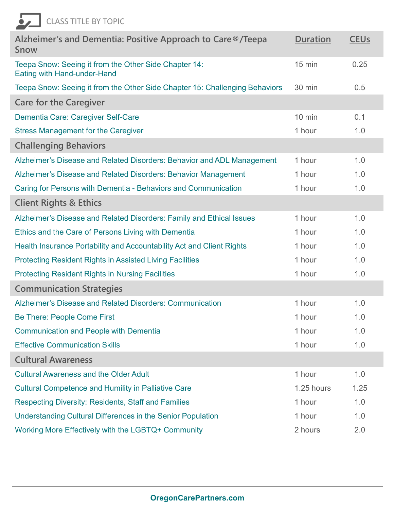| <b>CLASS TITLE BY TOPIC</b>                                                          |                  |                        |
|--------------------------------------------------------------------------------------|------------------|------------------------|
| Alzheimer's and Dementia: Positive Approach to Care ®/Teepa<br>Snow                  | <b>Duration</b>  | <b>CEU<sub>S</sub></b> |
| Teepa Snow: Seeing it from the Other Side Chapter 14:<br>Eating with Hand-under-Hand | $15 \text{ min}$ | 0.25                   |
| Teepa Snow: Seeing it from the Other Side Chapter 15: Challenging Behaviors          | 30 min           | 0.5                    |
| <b>Care for the Caregiver</b>                                                        |                  |                        |
| Dementia Care: Caregiver Self-Care                                                   | $10 \text{ min}$ | 0.1                    |
| <b>Stress Management for the Caregiver</b>                                           | 1 hour           | 1.0                    |
| <b>Challenging Behaviors</b>                                                         |                  |                        |
| Alzheimer's Disease and Related Disorders: Behavior and ADL Management               | 1 hour           | 1.0                    |
| Alzheimer's Disease and Related Disorders: Behavior Management                       | 1 hour           | 1.0                    |
| Caring for Persons with Dementia - Behaviors and Communication                       | 1 hour           | 1.0                    |
| <b>Client Rights &amp; Ethics</b>                                                    |                  |                        |
| Alzheimer's Disease and Related Disorders: Family and Ethical Issues                 | 1 hour           | 1.0                    |
| Ethics and the Care of Persons Living with Dementia                                  | 1 hour           | 1.0                    |
| Health Insurance Portability and Accountability Act and Client Rights                | 1 hour           | 1.0                    |
| <b>Protecting Resident Rights in Assisted Living Facilities</b>                      | 1 hour           | 1.0                    |
| <b>Protecting Resident Rights in Nursing Facilities</b>                              | 1 hour           | 1.0                    |
| <b>Communication Strategies</b>                                                      |                  |                        |
| Alzheimer's Disease and Related Disorders: Communication                             | 1 hour           | 1.0                    |
| Be There: People Come First                                                          | 1 hour           | 1.0                    |
| <b>Communication and People with Dementia</b>                                        | 1 hour           | 1.0                    |
| <b>Effective Communication Skills</b>                                                | 1 hour           | 1.0                    |
| <b>Cultural Awareness</b>                                                            |                  |                        |
| <b>Cultural Awareness and the Older Adult</b>                                        | 1 hour           | 1.0                    |
| <b>Cultural Competence and Humility in Palliative Care</b>                           | 1.25 hours       | 1.25                   |
| <b>Respecting Diversity: Residents, Staff and Families</b>                           | 1 hour           | 1.0                    |
| Understanding Cultural Differences in the Senior Population                          | 1 hour           | 1.0                    |
| Working More Effectively with the LGBTQ+ Community                                   | 2 hours          | 2.0                    |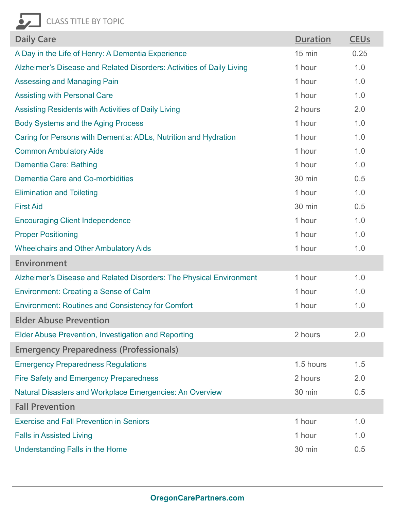| <b>Daily Care</b>                                                     | <b>Duration</b>  | <b>CEU<sub>s</sub></b> |
|-----------------------------------------------------------------------|------------------|------------------------|
| A Day in the Life of Henry: A Dementia Experience                     | $15 \text{ min}$ | 0.25                   |
| Alzheimer's Disease and Related Disorders: Activities of Daily Living | 1 hour           | 1.0                    |
| Assessing and Managing Pain                                           | 1 hour           | 1.0                    |
| <b>Assisting with Personal Care</b>                                   | 1 hour           | 1.0                    |
| Assisting Residents with Activities of Daily Living                   | 2 hours          | 2.0                    |
| <b>Body Systems and the Aging Process</b>                             | 1 hour           | 1.0                    |
| Caring for Persons with Dementia: ADLs, Nutrition and Hydration       | 1 hour           | 1.0                    |
| <b>Common Ambulatory Aids</b>                                         | 1 hour           | 1.0                    |
| <b>Dementia Care: Bathing</b>                                         | 1 hour           | 1.0                    |
| <b>Dementia Care and Co-morbidities</b>                               | 30 min           | 0.5                    |
| <b>Elimination and Toileting</b>                                      | 1 hour           | 1.0                    |
| <b>First Aid</b>                                                      | 30 min           | 0.5                    |
| <b>Encouraging Client Independence</b>                                | 1 hour           | 1.0                    |
| <b>Proper Positioning</b>                                             | 1 hour           | 1.0                    |
| <b>Wheelchairs and Other Ambulatory Aids</b>                          | 1 hour           | 1.0                    |
| Environment                                                           |                  |                        |
| Alzheimer's Disease and Related Disorders: The Physical Environment   | 1 hour           | 1.0                    |
| <b>Environment: Creating a Sense of Calm</b>                          | 1 hour           | 1.0                    |
| <b>Environment: Routines and Consistency for Comfort</b>              | 1 hour           | 1.0                    |
| <b>Elder Abuse Prevention</b>                                         |                  |                        |
| <b>Elder Abuse Prevention, Investigation and Reporting</b>            | 2 hours          | 2.0                    |
| <b>Emergency Preparedness (Professionals)</b>                         |                  |                        |
| <b>Emergency Preparedness Regulations</b>                             | 1.5 hours        | 1.5                    |
| <b>Fire Safety and Emergency Preparedness</b>                         | 2 hours          | 2.0                    |
| Natural Disasters and Workplace Emergencies: An Overview              | 30 min           | 0.5                    |
| <b>Fall Prevention</b>                                                |                  |                        |
| <b>Exercise and Fall Prevention in Seniors</b>                        | 1 hour           | 1.0                    |
| <b>Falls in Assisted Living</b>                                       | 1 hour           | 1.0                    |
| Understanding Falls in the Home                                       | 30 min           | 0.5                    |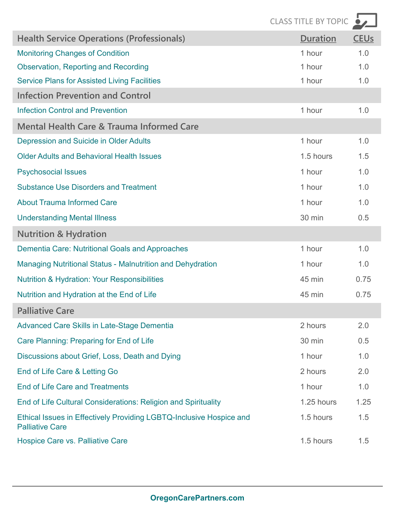|                                                                                               | CLASS TITLE BY TOPIC |             |
|-----------------------------------------------------------------------------------------------|----------------------|-------------|
| <b>Health Service Operations (Professionals)</b>                                              | <b>Duration</b>      | <b>CEUS</b> |
| <b>Monitoring Changes of Condition</b>                                                        | 1 hour               | 1.0         |
| <b>Observation, Reporting and Recording</b>                                                   | 1 hour               | 1.0         |
| <b>Service Plans for Assisted Living Facilities</b>                                           | 1 hour               | 1.0         |
| <b>Infection Prevention and Control</b>                                                       |                      |             |
| <b>Infection Control and Prevention</b>                                                       | 1 hour               | 1.0         |
| <b>Mental Health Care &amp; Trauma Informed Care</b>                                          |                      |             |
| Depression and Suicide in Older Adults                                                        | 1 hour               | 1.0         |
| <b>Older Adults and Behavioral Health Issues</b>                                              | 1.5 hours            | 1.5         |
| <b>Psychosocial Issues</b>                                                                    | 1 hour               | 1.0         |
| <b>Substance Use Disorders and Treatment</b>                                                  | 1 hour               | 1.0         |
| <b>About Trauma Informed Care</b>                                                             | 1 hour               | 1.0         |
| <b>Understanding Mental Illness</b>                                                           | 30 min               | 0.5         |
| <b>Nutrition &amp; Hydration</b>                                                              |                      |             |
| Dementia Care: Nutritional Goals and Approaches                                               | 1 hour               | 1.0         |
| Managing Nutritional Status - Malnutrition and Dehydration                                    | 1 hour               | 1.0         |
| <b>Nutrition &amp; Hydration: Your Responsibilities</b>                                       | 45 min               | 0.75        |
| Nutrition and Hydration at the End of Life                                                    | 45 min               | 0.75        |
| <b>Palliative Care</b>                                                                        |                      |             |
| <b>Advanced Care Skills in Late-Stage Dementia</b>                                            | 2 hours              | 2.0         |
| Care Planning: Preparing for End of Life                                                      | 30 min               | 0.5         |
| Discussions about Grief, Loss, Death and Dying                                                | 1 hour               | 1.0         |
| End of Life Care & Letting Go                                                                 | 2 hours              | 2.0         |
| <b>End of Life Care and Treatments</b>                                                        | 1 hour               | 1.0         |
| End of Life Cultural Considerations: Religion and Spirituality                                | 1.25 hours           | 1.25        |
| Ethical Issues in Effectively Providing LGBTQ-Inclusive Hospice and<br><b>Palliative Care</b> | 1.5 hours            | 1.5         |
| <b>Hospice Care vs. Palliative Care</b>                                                       | 1.5 hours            | 1.5         |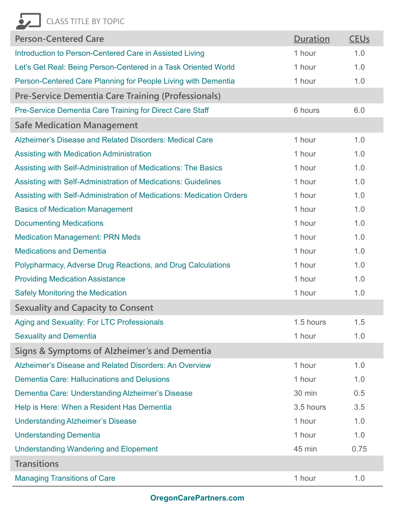| <b>ASS TITLE BY TOPIC</b>                                            |                 |                        |
|----------------------------------------------------------------------|-----------------|------------------------|
| <b>Person-Centered Care</b>                                          | <b>Duration</b> | <b>CEU<sub>s</sub></b> |
| Introduction to Person-Centered Care in Assisted Living              | 1 hour          | 1.0                    |
| Let's Get Real: Being Person-Centered in a Task Oriented World       | 1 hour          | 1.0                    |
| Person-Centered Care Planning for People Living with Dementia        | 1 hour          | 1.0                    |
| <b>Pre-Service Dementia Care Training (Professionals)</b>            |                 |                        |
| Pre-Service Dementia Care Training for Direct Care Staff             | 6 hours         | 6.0                    |
| <b>Safe Medication Management</b>                                    |                 |                        |
| Alzheimer's Disease and Related Disorders: Medical Care              | 1 hour          | 1.0                    |
| <b>Assisting with Medication Administration</b>                      | 1 hour          | 1.0                    |
| Assisting with Self-Administration of Medications: The Basics        | 1 hour          | 1.0                    |
| Assisting with Self-Administration of Medications: Guidelines        | 1 hour          | 1.0                    |
| Assisting with Self-Administration of Medications: Medication Orders | 1 hour          | 1.0                    |
| <b>Basics of Medication Management</b>                               | 1 hour          | 1.0                    |
| <b>Documenting Medications</b>                                       | 1 hour          | 1.0                    |
| <b>Medication Management: PRN Meds</b>                               | 1 hour          | 1.0                    |
| <b>Medications and Dementia</b>                                      | 1 hour          | 1.0                    |
| Polypharmacy, Adverse Drug Reactions, and Drug Calculations          | 1 hour          | 1.0                    |
| <b>Providing Medication Assistance</b>                               | 1 hour          | 1.0                    |
| <b>Safely Monitoring the Medication</b>                              | 1 hour          | 1.0                    |
| <b>Sexuality and Capacity to Consent</b>                             |                 |                        |
| Aging and Sexuality: For LTC Professionals                           | 1.5 hours       | 1.5                    |
| <b>Sexuality and Dementia</b>                                        | 1 hour          | 1.0                    |
| Signs & Symptoms of Alzheimer's and Dementia                         |                 |                        |
| Alzheimer's Disease and Related Disorders: An Overview               | 1 hour          | 1.0                    |
| <b>Dementia Care: Hallucinations and Delusions</b>                   | 1 hour          | 1.0                    |
| Dementia Care: Understanding Alzheimer's Disease                     | 30 min          | 0.5                    |
| Help is Here: When a Resident Has Dementia                           | 3.5 hours       | 3.5                    |
| <b>Understanding Alzheimer's Disease</b>                             | 1 hour          | 1.0                    |
| <b>Understanding Dementia</b>                                        | 1 hour          | 1.0                    |
| <b>Understanding Wandering and Elopement</b>                         | 45 min          | 0.75                   |
| <b>Transitions</b>                                                   |                 |                        |
| <b>Managing Transitions of Care</b>                                  | 1 hour          | 1.0                    |
| OregonCarePartners.com                                               |                 |                        |

#### OregonCarePartners.com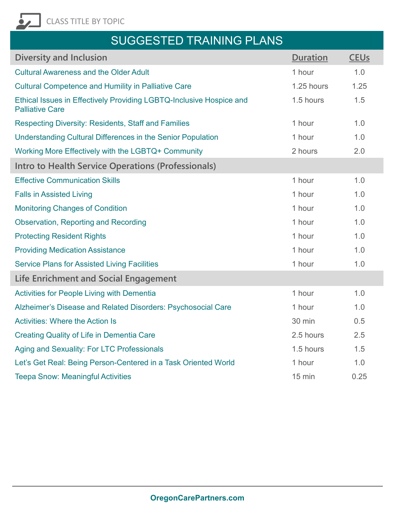

## SUGGESTED TRAINING PLANS

| <b>SUGGESTED TRAINING PLANS</b>                                                               |                  |                        |
|-----------------------------------------------------------------------------------------------|------------------|------------------------|
| <b>Diversity and Inclusion</b>                                                                | <b>Duration</b>  | <b>CEU<sub>s</sub></b> |
| <b>Cultural Awareness and the Older Adult</b>                                                 | 1 hour           | 1.0                    |
| <b>Cultural Competence and Humility in Palliative Care</b>                                    | 1.25 hours       | 1.25                   |
| Ethical Issues in Effectively Providing LGBTQ-Inclusive Hospice and<br><b>Palliative Care</b> | 1.5 hours        | 1.5                    |
| <b>Respecting Diversity: Residents, Staff and Families</b>                                    | 1 hour           | 1.0                    |
| Understanding Cultural Differences in the Senior Population                                   | 1 hour           | 1.0                    |
| Working More Effectively with the LGBTQ+ Community                                            | 2 hours          | 2.0                    |
| Intro to Health Service Operations (Professionals)                                            |                  |                        |
| <b>Effective Communication Skills</b>                                                         | 1 hour           | 1.0                    |
| <b>Falls in Assisted Living</b>                                                               | 1 hour           | 1.0                    |
| <b>Monitoring Changes of Condition</b>                                                        | 1 hour           | 1.0                    |
| <b>Observation, Reporting and Recording</b>                                                   | 1 hour           | 1.0                    |
| <b>Protecting Resident Rights</b>                                                             | 1 hour           | 1.0                    |
| <b>Providing Medication Assistance</b>                                                        | 1 hour           | 1.0                    |
| <b>Service Plans for Assisted Living Facilities</b>                                           | 1 hour           | 1.0                    |
| Life Enrichment and Social Engagement                                                         |                  |                        |
| Activities for People Living with Dementia                                                    | 1 hour           | 1.0                    |
| Alzheimer's Disease and Related Disorders: Psychosocial Care                                  | 1 hour           | 1.0                    |
| <b>Activities: Where the Action Is</b>                                                        | 30 min           | 0.5                    |
| <b>Creating Quality of Life in Dementia Care</b>                                              | 2.5 hours        | 2.5                    |
| Aging and Sexuality: For LTC Professionals                                                    | 1.5 hours        | 1.5                    |
| Let's Get Real: Being Person-Centered in a Task Oriented World                                | 1 hour           | 1.0                    |
| <b>Teepa Snow: Meaningful Activities</b>                                                      | $15 \text{ min}$ | 0.25                   |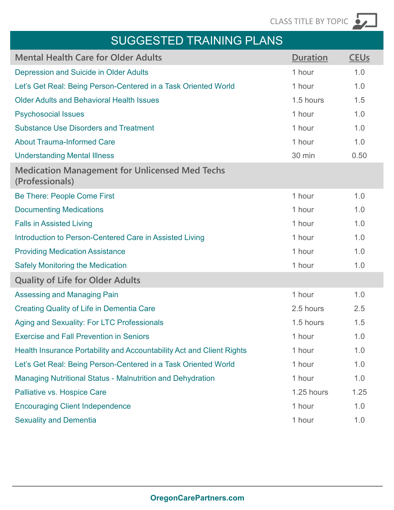### SUGGESTED TRAINING PLANS

| <b>SUGGESTED TRAINING PLANS</b>                                          |            | CLASS TITLE BY TOPIC   |
|--------------------------------------------------------------------------|------------|------------------------|
|                                                                          |            |                        |
| <b>Mental Health Care for Older Adults</b>                               | Duration   | <b>CEU<sub>s</sub></b> |
| <b>Depression and Suicide in Older Adults</b>                            | 1 hour     | 1.0                    |
| Let's Get Real: Being Person-Centered in a Task Oriented World           | 1 hour     | 1.0                    |
| <b>Older Adults and Behavioral Health Issues</b>                         | 1.5 hours  | 1.5                    |
| <b>Psychosocial Issues</b>                                               | 1 hour     | 1.0                    |
| <b>Substance Use Disorders and Treatment</b>                             | 1 hour     | 1.0                    |
| <b>About Trauma-Informed Care</b>                                        | 1 hour     | 1.0                    |
| <b>Understanding Mental Illness</b>                                      | 30 min     | 0.50                   |
| <b>Medication Management for Unlicensed Med Techs</b><br>(Professionals) |            |                        |
| <b>Be There: People Come First</b>                                       | 1 hour     | 1.0                    |
| <b>Documenting Medications</b>                                           | 1 hour     | 1.0                    |
| <b>Falls in Assisted Living</b>                                          | 1 hour     | 1.0                    |
| Introduction to Person-Centered Care in Assisted Living                  | 1 hour     | 1.0                    |
| <b>Providing Medication Assistance</b>                                   | 1 hour     | 1.0                    |
| <b>Safely Monitoring the Medication</b>                                  | 1 hour     | 1.0                    |
| <b>Quality of Life for Older Adults</b>                                  |            |                        |
| Assessing and Managing Pain                                              | 1 hour     | 1.0                    |
| <b>Creating Quality of Life in Dementia Care</b>                         | 2.5 hours  | 2.5                    |
| Aging and Sexuality: For LTC Professionals                               | 1.5 hours  | 1.5                    |
| <b>Exercise and Fall Prevention in Seniors</b>                           | 1 hour     | 1.0                    |
| Health Insurance Portability and Accountability Act and Client Rights    | 1 hour     | 1.0                    |
| Let's Get Real: Being Person-Centered in a Task Oriented World           | 1 hour     | 1.0                    |
| <b>Managing Nutritional Status - Malnutrition and Dehydration</b>        | 1 hour     | 1.0                    |
| Palliative vs. Hospice Care                                              | 1.25 hours | 1.25                   |
| <b>Encouraging Client Independence</b>                                   | 1 hour     | 1.0                    |
| <b>Sexuality and Dementia</b>                                            | 1 hour     | 1.0                    |